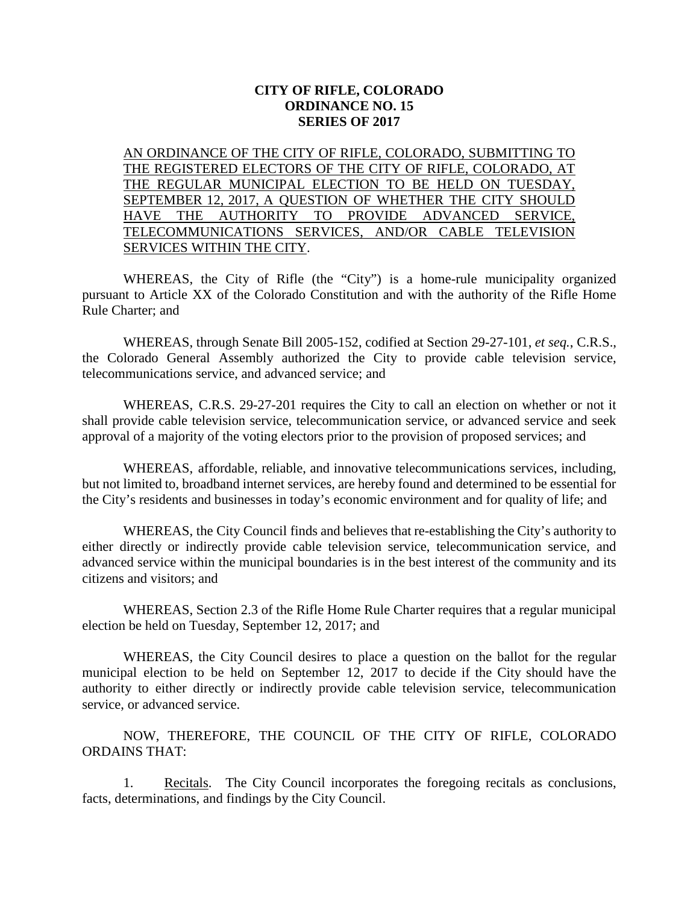## **CITY OF RIFLE, COLORADO ORDINANCE NO. 15 SERIES OF 2017**

AN ORDINANCE OF THE CITY OF RIFLE, COLORADO, SUBMITTING TO THE REGISTERED ELECTORS OF THE CITY OF RIFLE, COLORADO, AT THE REGULAR MUNICIPAL ELECTION TO BE HELD ON TUESDAY, SEPTEMBER 12, 2017, A QUESTION OF WHETHER THE CITY SHOULD HAVE THE AUTHORITY TO PROVIDE ADVANCED SERVICE, TELECOMMUNICATIONS SERVICES, AND/OR CABLE TELEVISION SERVICES WITHIN THE CITY.

WHEREAS, the City of Rifle (the "City") is a home-rule municipality organized pursuant to Article XX of the Colorado Constitution and with the authority of the Rifle Home Rule Charter; and

WHEREAS, through Senate Bill 2005-152, codified at Section 29-27-101, *et seq.*, C.R.S., the Colorado General Assembly authorized the City to provide cable television service, telecommunications service, and advanced service; and

WHEREAS, C.R.S. 29-27-201 requires the City to call an election on whether or not it shall provide cable television service, telecommunication service, or advanced service and seek approval of a majority of the voting electors prior to the provision of proposed services; and

WHEREAS, affordable, reliable, and innovative telecommunications services, including, but not limited to, broadband internet services, are hereby found and determined to be essential for the City's residents and businesses in today's economic environment and for quality of life; and

WHEREAS, the City Council finds and believes that re-establishing the City's authority to either directly or indirectly provide cable television service, telecommunication service, and advanced service within the municipal boundaries is in the best interest of the community and its citizens and visitors; and

WHEREAS, Section 2.3 of the Rifle Home Rule Charter requires that a regular municipal election be held on Tuesday, September 12, 2017; and

WHEREAS, the City Council desires to place a question on the ballot for the regular municipal election to be held on September 12, 2017 to decide if the City should have the authority to either directly or indirectly provide cable television service, telecommunication service, or advanced service.

NOW, THEREFORE, THE COUNCIL OF THE CITY OF RIFLE, COLORADO ORDAINS THAT:

1. Recitals. The City Council incorporates the foregoing recitals as conclusions, facts, determinations, and findings by the City Council.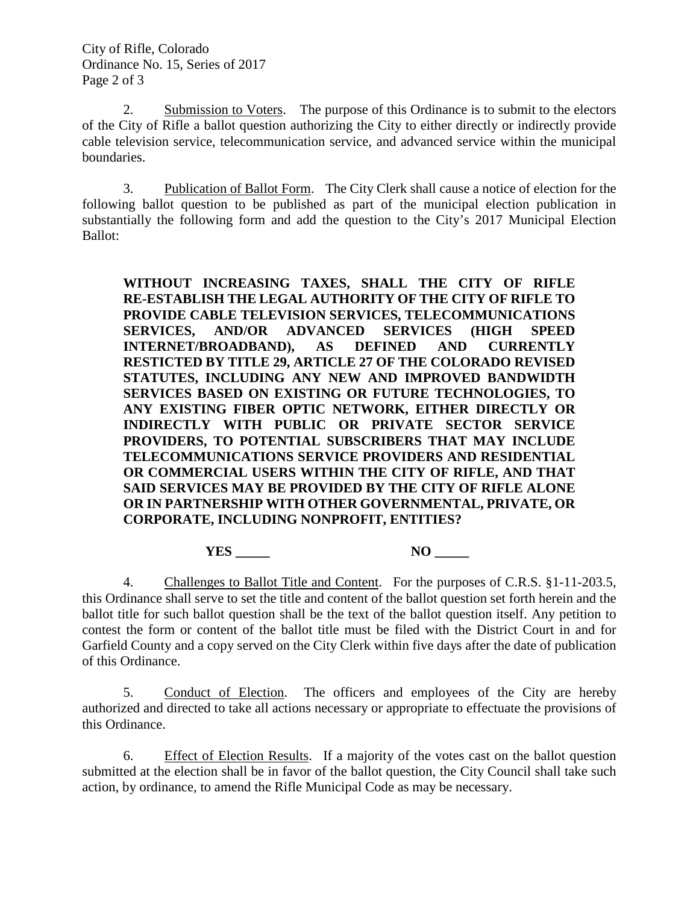2. Submission to Voters. The purpose of this Ordinance is to submit to the electors of the City of Rifle a ballot question authorizing the City to either directly or indirectly provide cable television service, telecommunication service, and advanced service within the municipal boundaries.

3. Publication of Ballot Form. The City Clerk shall cause a notice of election for the following ballot question to be published as part of the municipal election publication in substantially the following form and add the question to the City's 2017 Municipal Election Ballot:

**WITHOUT INCREASING TAXES, SHALL THE CITY OF RIFLE RE-ESTABLISH THE LEGAL AUTHORITY OF THE CITY OF RIFLE TO PROVIDE CABLE TELEVISION SERVICES, TELECOMMUNICATIONS SERVICES, AND/OR ADVANCED SERVICES (HIGH SPEED INTERNET/BROADBAND), AS DEFINED AND CURRENTLY RESTICTED BY TITLE 29, ARTICLE 27 OF THE COLORADO REVISED STATUTES, INCLUDING ANY NEW AND IMPROVED BANDWIDTH SERVICES BASED ON EXISTING OR FUTURE TECHNOLOGIES, TO ANY EXISTING FIBER OPTIC NETWORK, EITHER DIRECTLY OR INDIRECTLY WITH PUBLIC OR PRIVATE SECTOR SERVICE PROVIDERS, TO POTENTIAL SUBSCRIBERS THAT MAY INCLUDE TELECOMMUNICATIONS SERVICE PROVIDERS AND RESIDENTIAL OR COMMERCIAL USERS WITHIN THE CITY OF RIFLE, AND THAT SAID SERVICES MAY BE PROVIDED BY THE CITY OF RIFLE ALONE OR IN PARTNERSHIP WITH OTHER GOVERNMENTAL, PRIVATE, OR CORPORATE, INCLUDING NONPROFIT, ENTITIES?**

**YES \_\_\_\_\_ NO \_\_\_\_\_**

4. Challenges to Ballot Title and Content. For the purposes of C.R.S. §1-11-203.5, this Ordinance shall serve to set the title and content of the ballot question set forth herein and the ballot title for such ballot question shall be the text of the ballot question itself. Any petition to contest the form or content of the ballot title must be filed with the District Court in and for Garfield County and a copy served on the City Clerk within five days after the date of publication of this Ordinance.

5. Conduct of Election. The officers and employees of the City are hereby authorized and directed to take all actions necessary or appropriate to effectuate the provisions of this Ordinance.

6. Effect of Election Results. If a majority of the votes cast on the ballot question submitted at the election shall be in favor of the ballot question, the City Council shall take such action, by ordinance, to amend the Rifle Municipal Code as may be necessary.